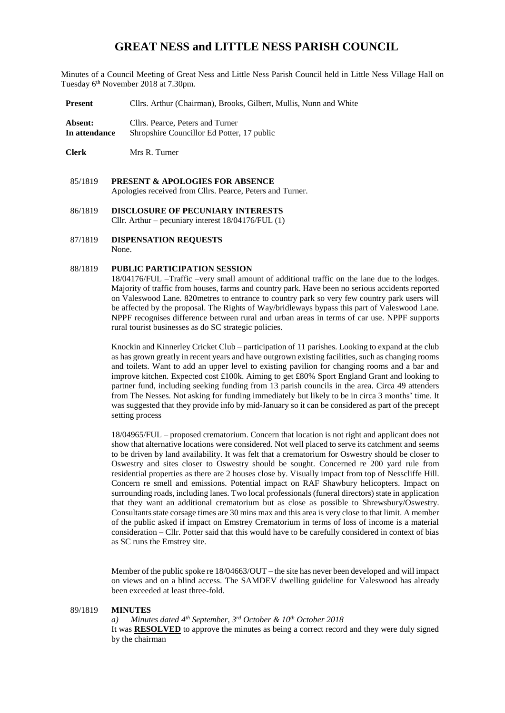# **GREAT NESS and LITTLE NESS PARISH COUNCIL**

Minutes of a Council Meeting of Great Ness and Little Ness Parish Council held in Little Ness Village Hall on Tuesday 6th November 2018 at 7.30pm.

**Present** Cllrs. Arthur (Chairman), Brooks, Gilbert, Mullis, Nunn and White

**Absent:** Cllrs. Pearce, Peters and Turner **In attendance** Shropshire Councillor Ed Potter, 17 public

**Clerk** Mrs R. Turner

- 85/1819 **PRESENT & APOLOGIES FOR ABSENCE**  Apologies received from Cllrs. Pearce, Peters and Turner.
- 86/1819 **DISCLOSURE OF PECUNIARY INTERESTS** Cllr. Arthur – pecuniary interest 18/04176/FUL (1)
- 87/1819 **DISPENSATION REQUESTS** None.

### 88/1819 **PUBLIC PARTICIPATION SESSION**

18/04176/FUL –Traffic –very small amount of additional traffic on the lane due to the lodges. Majority of traffic from houses, farms and country park. Have been no serious accidents reported on Valeswood Lane. 820metres to entrance to country park so very few country park users will be affected by the proposal. The Rights of Way/bridleways bypass this part of Valeswood Lane. NPPF recognises difference between rural and urban areas in terms of car use. NPPF supports rural tourist businesses as do SC strategic policies.

Knockin and Kinnerley Cricket Club – participation of 11 parishes. Looking to expand at the club as has grown greatly in recent years and have outgrown existing facilities, such as changing rooms and toilets. Want to add an upper level to existing pavilion for changing rooms and a bar and improve kitchen. Expected cost £100k. Aiming to get £80% Sport England Grant and looking to partner fund, including seeking funding from 13 parish councils in the area. Circa 49 attenders from The Nesses. Not asking for funding immediately but likely to be in circa 3 months' time. It was suggested that they provide info by mid-January so it can be considered as part of the precept setting process

18/04965/FUL – proposed crematorium. Concern that location is not right and applicant does not show that alternative locations were considered. Not well placed to serve its catchment and seems to be driven by land availability. It was felt that a crematorium for Oswestry should be closer to Oswestry and sites closer to Oswestry should be sought. Concerned re 200 yard rule from residential properties as there are 2 houses close by. Visually impact from top of Nesscliffe Hill. Concern re smell and emissions. Potential impact on RAF Shawbury helicopters. Impact on surrounding roads, including lanes. Two local professionals (funeral directors) state in application that they want an additional crematorium but as close as possible to Shrewsbury/Oswestry. Consultants state corsage times are 30 mins max and this area is very close to that limit. A member of the public asked if impact on Emstrey Crematorium in terms of loss of income is a material consideration – Cllr. Potter said that this would have to be carefully considered in context of bias as SC runs the Emstrey site.

Member of the public spoke re 18/04663/OUT – the site has never been developed and will impact on views and on a blind access. The SAMDEV dwelling guideline for Valeswood has already been exceeded at least three-fold.

#### 89/1819 **MINUTES**

## *a) Minutes dated 4 th September, 3 rd October & 10th October 2018*

It was **RESOLVED** to approve the minutes as being a correct record and they were duly signed by the chairman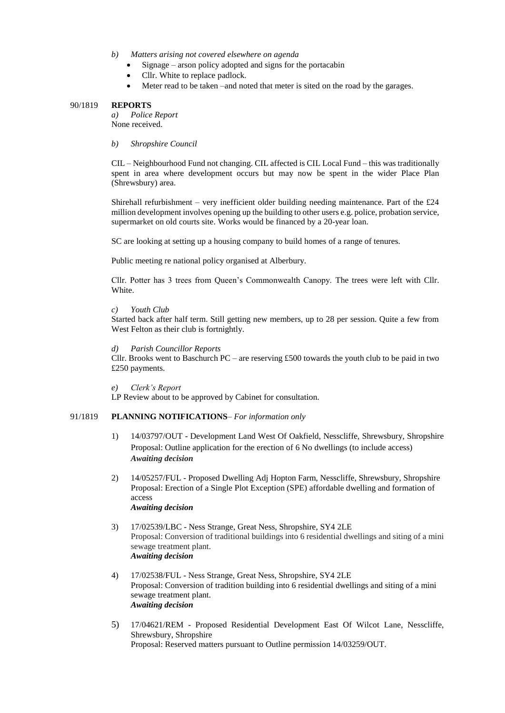- *b) Matters arising not covered elsewhere on agenda*
	- Signage arson policy adopted and signs for the portacabin
	- Cllr. White to replace padlock.
	- Meter read to be taken –and noted that meter is sited on the road by the garages.

#### 90/1819 **REPORTS**

*a) Police Report*  None received.

*b) Shropshire Council* 

CIL – Neighbourhood Fund not changing. CIL affected is CIL Local Fund – this was traditionally spent in area where development occurs but may now be spent in the wider Place Plan (Shrewsbury) area.

Shirehall refurbishment – very inefficient older building needing maintenance. Part of the  $\pounds 24$ million development involves opening up the building to other users e.g. police, probation service, supermarket on old courts site. Works would be financed by a 20-year loan.

SC are looking at setting up a housing company to build homes of a range of tenures.

Public meeting re national policy organised at Alberbury.

Cllr. Potter has 3 trees from Queen's Commonwealth Canopy. The trees were left with Cllr. White.

## *c) Youth Club*

Started back after half term. Still getting new members, up to 28 per session. Quite a few from West Felton as their club is fortnightly.

#### *d) Parish Councillor Reports*

Cllr. Brooks went to Baschurch  $PC$  – are reserving £500 towards the youth club to be paid in two £250 payments.

*e) Clerk's Report*

LP Review about to be approved by Cabinet for consultation.

## 91/1819 **PLANNING NOTIFICATIONS**– *For information only*

- 1) 14/03797/OUT Development Land West Of Oakfield, Nesscliffe, Shrewsbury, Shropshire Proposal: Outline application for the erection of 6 No dwellings (to include access) *Awaiting decision*
- 2) 14/05257/FUL Proposed Dwelling Adj Hopton Farm, Nesscliffe, Shrewsbury, Shropshire Proposal: Erection of a Single Plot Exception (SPE) affordable dwelling and formation of access *Awaiting decision*
- 3) 17/02539/LBC Ness Strange, Great Ness, Shropshire, SY4 2LE Proposal: Conversion of traditional buildings into 6 residential dwellings and siting of a mini sewage treatment plant. *Awaiting decision*
- 4) 17/02538/FUL Ness Strange, Great Ness, Shropshire, SY4 2LE Proposal: Conversion of tradition building into 6 residential dwellings and siting of a mini sewage treatment plant. *Awaiting decision*
- 5) 17/04621/REM Proposed Residential Development East Of Wilcot Lane, Nesscliffe, Shrewsbury, Shropshire Proposal: Reserved matters pursuant to Outline permission 14/03259/OUT.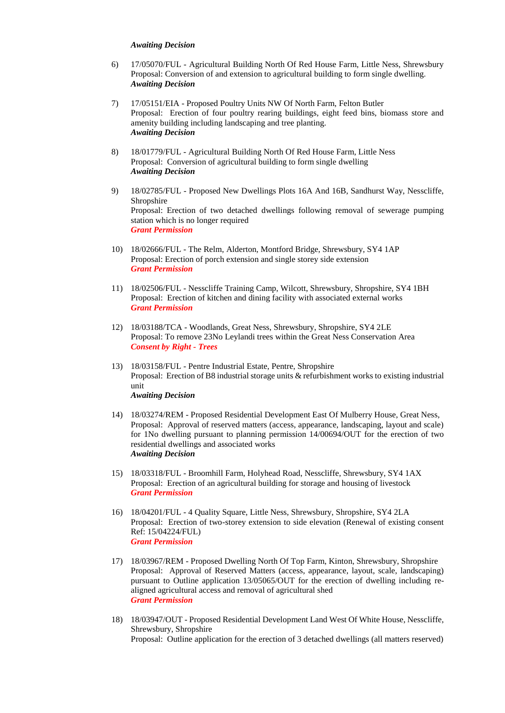#### *Awaiting Decision*

- 6) 17/05070/FUL Agricultural Building North Of Red House Farm, Little Ness, Shrewsbury Proposal: Conversion of and extension to agricultural building to form single dwelling. *Awaiting Decision*
- 7) 17/05151/EIA Proposed Poultry Units NW Of North Farm, Felton Butler Proposal: Erection of four poultry rearing buildings, eight feed bins, biomass store and amenity building including landscaping and tree planting. *Awaiting Decision*
- 8) 18/01779/FUL Agricultural Building North Of Red House Farm, Little Ness Proposal: Conversion of agricultural building to form single dwelling *Awaiting Decision*
- 9) 18/02785/FUL Proposed New Dwellings Plots 16A And 16B, Sandhurst Way, Nesscliffe, **Shropshire** Proposal: Erection of two detached dwellings following removal of sewerage pumping station which is no longer required *Grant Permission*
- 10) 18/02666/FUL The Relm, Alderton, Montford Bridge, Shrewsbury, SY4 1AP Proposal: Erection of porch extension and single storey side extension *Grant Permission*
- 11) 18/02506/FUL Nesscliffe Training Camp, Wilcott, Shrewsbury, Shropshire, SY4 1BH Proposal: Erection of kitchen and dining facility with associated external works *Grant Permission*
- 12) 18/03188/TCA Woodlands, Great Ness, Shrewsbury, Shropshire, SY4 2LE Proposal: To remove 23No Leylandi trees within the Great Ness Conservation Area *Consent by Right - Trees*
- 13) 18/03158/FUL Pentre Industrial Estate, Pentre, Shropshire Proposal: Erection of B8 industrial storage units & refurbishment works to existing industrial unit *Awaiting Decision*
- 14) 18/03274/REM Proposed Residential Development East Of Mulberry House, Great Ness, Proposal: Approval of reserved matters (access, appearance, landscaping, layout and scale) for 1No dwelling pursuant to planning permission 14/00694/OUT for the erection of two residential dwellings and associated works *Awaiting Decision*
- 15) 18/03318/FUL Broomhill Farm, Holyhead Road, Nesscliffe, Shrewsbury, SY4 1AX Proposal: Erection of an agricultural building for storage and housing of livestock *Grant Permission*
- 16) 18/04201/FUL 4 Quality Square, Little Ness, Shrewsbury, Shropshire, SY4 2LA Proposal: Erection of two-storey extension to side elevation (Renewal of existing consent Ref: 15/04224/FUL) *Grant Permission*
- 17) 18/03967/REM Proposed Dwelling North Of Top Farm, Kinton, Shrewsbury, Shropshire Proposal: Approval of Reserved Matters (access, appearance, layout, scale, landscaping) pursuant to Outline application 13/05065/OUT for the erection of dwelling including realigned agricultural access and removal of agricultural shed *Grant Permission*
- 18) 18/03947/OUT Proposed Residential Development Land West Of White House, Nesscliffe, Shrewsbury, Shropshire Proposal: Outline application for the erection of 3 detached dwellings (all matters reserved)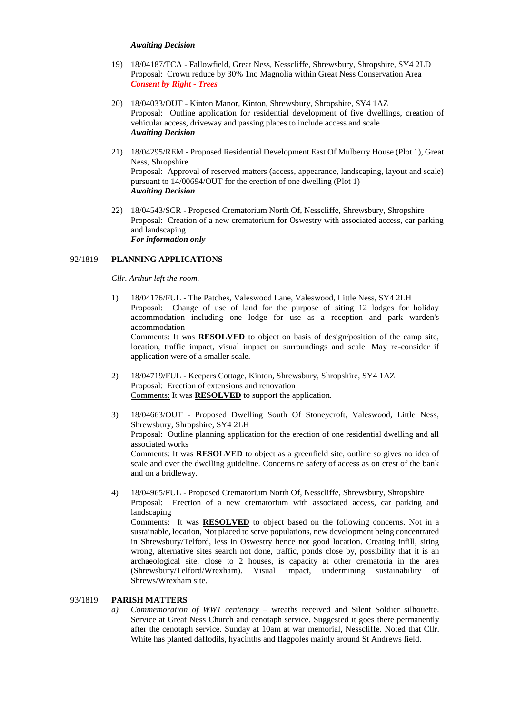#### *Awaiting Decision*

- 19) 18/04187/TCA Fallowfield, Great Ness, Nesscliffe, Shrewsbury, Shropshire, SY4 2LD Proposal: Crown reduce by 30% 1no Magnolia within Great Ness Conservation Area *Consent by Right - Trees*
- 20) 18/04033/OUT Kinton Manor, Kinton, Shrewsbury, Shropshire, SY4 1AZ Proposal: Outline application for residential development of five dwellings, creation of vehicular access, driveway and passing places to include access and scale *Awaiting Decision*
- 21) 18/04295/REM Proposed Residential Development East Of Mulberry House (Plot 1), Great Ness, Shropshire Proposal: Approval of reserved matters (access, appearance, landscaping, layout and scale) pursuant to 14/00694/OUT for the erection of one dwelling (Plot 1) *Awaiting Decision*
- 22) 18/04543/SCR Proposed Crematorium North Of, Nesscliffe, Shrewsbury, Shropshire Proposal: Creation of a new crematorium for Oswestry with associated access, car parking and landscaping *For information only*

## 92/1819 **PLANNING APPLICATIONS**

*Cllr. Arthur left the room.*

- 1) 18/04176/FUL The Patches, Valeswood Lane, Valeswood, Little Ness, SY4 2LH Proposal: Change of use of land for the purpose of siting 12 lodges for holiday accommodation including one lodge for use as a reception and park warden's accommodation Comments: It was **RESOLVED** to object on basis of design/position of the camp site, location, traffic impact, visual impact on surroundings and scale. May re-consider if application were of a smaller scale.
- 2) 18/04719/FUL Keepers Cottage, Kinton, Shrewsbury, Shropshire, SY4 1AZ Proposal: Erection of extensions and renovation Comments: It was **RESOLVED** to support the application.
- 3) 18/04663/OUT Proposed Dwelling South Of Stoneycroft, Valeswood, Little Ness, Shrewsbury, Shropshire, SY4 2LH Proposal: Outline planning application for the erection of one residential dwelling and all associated works Comments: It was **RESOLVED** to object as a greenfield site, outline so gives no idea of scale and over the dwelling guideline. Concerns re safety of access as on crest of the bank and on a bridleway.
- 4) 18/04965/FUL Proposed Crematorium North Of, Nesscliffe, Shrewsbury, Shropshire Proposal: Erection of a new crematorium with associated access, car parking and landscaping Comments: It was **RESOLVED** to object based on the following concerns. Not in a sustainable, location, Not placed to serve populations, new development being concentrated in Shrewsbury/Telford, less in Oswestry hence not good location. Creating infill, siting wrong, alternative sites search not done, traffic, ponds close by, possibility that it is an archaeological site, close to 2 houses, is capacity at other crematoria in the area (Shrewsbury/Telford/Wrexham). Visual impact, undermining sustainability of Shrews/Wrexham site.

## 93/1819 **PARISH MATTERS**

*a) Commemoration of WW1 centenary* – wreaths received and Silent Soldier silhouette. Service at Great Ness Church and cenotaph service. Suggested it goes there permanently after the cenotaph service. Sunday at 10am at war memorial, Nesscliffe. Noted that Cllr. White has planted daffodils, hyacinths and flagpoles mainly around St Andrews field.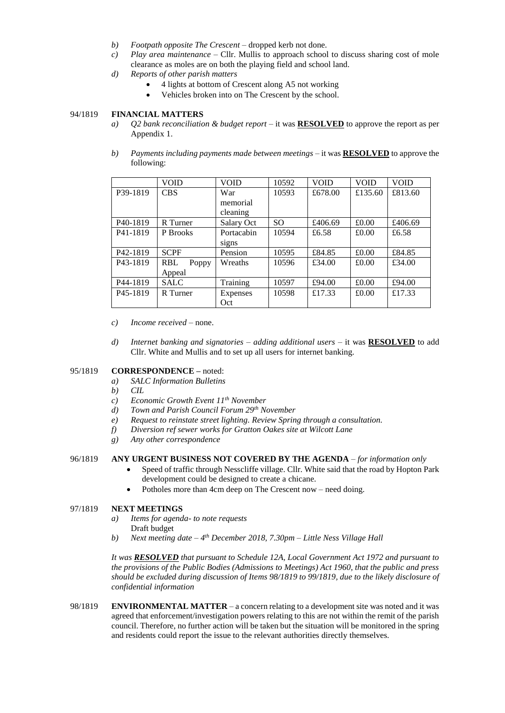- *b) Footpath opposite The Crescent* dropped kerb not done.
- *c) Play area maintenance* Cllr. Mullis to approach school to discuss sharing cost of mole clearance as moles are on both the playing field and school land.
- *d) Reports of other parish matters*
	- 4 lights at bottom of Crescent along A5 not working
		- Vehicles broken into on The Crescent by the school.

# 94/1819 **FINANCIAL MATTERS**

- *a) Q2 bank reconciliation & budget report* it was **RESOLVED** to approve the report as per Appendix 1.
- *b) Payments including payments made between meetings* it was **RESOLVED** to approve the following:

|                       | VOID                | <b>VOID</b> | 10592         | <b>VOID</b> | <b>VOID</b> | <b>VOID</b> |
|-----------------------|---------------------|-------------|---------------|-------------|-------------|-------------|
| P39-1819              | <b>CBS</b>          | War         | 10593         | £678.00     | £135.60     | £813.60     |
|                       |                     | memorial    |               |             |             |             |
|                       |                     | cleaning    |               |             |             |             |
| P40-1819              | R Turner            | Salary Oct  | <sub>SO</sub> | £406.69     | £0.00       | £406.69     |
| P41-1819              | P Brooks            | Portacabin  | 10594         | £6.58       | £0.00       | £6.58       |
|                       |                     | signs       |               |             |             |             |
| P <sub>42</sub> -1819 | <b>SCPF</b>         | Pension     | 10595         | £84.85      | £0.00       | £84.85      |
| P <sub>43</sub> -1819 | <b>RBL</b><br>Poppy | Wreaths     | 10596         | £34.00      | £0.00       | £34.00      |
|                       | Appeal              |             |               |             |             |             |
| P44-1819              | <b>SALC</b>         | Training    | 10597         | £94.00      | £0.00       | £94.00      |
| P <sub>45</sub> -1819 | R Turner            | Expenses    | 10598         | £17.33      | £0.00       | £17.33      |
|                       |                     | Oct         |               |             |             |             |

*c) Income received* – none.

*d) Internet banking and signatories – adding additional users –* it was **RESOLVED** to add Cllr. White and Mullis and to set up all users for internet banking.

# 95/1819 **CORRESPONDENCE –** noted:

- *a) SALC Information Bulletins*
- *b) CIL*
- *c) Economic Growth Event 11th November*
- *d) Town and Parish Council Forum 29th November*
- *e) Request to reinstate street lighting. Review Spring through a consultation.*
- *f) Diversion ref sewer works for Gratton Oakes site at Wilcott Lane*
- *g) Any other correspondence*

# 96/1819 **ANY URGENT BUSINESS NOT COVERED BY THE AGENDA** *– for information only*

- Speed of traffic through Nesscliffe village. Cllr. White said that the road by Hopton Park development could be designed to create a chicane.
- Potholes more than 4cm deep on The Crescent now need doing.

## 97/1819 **NEXT MEETINGS**

- *a) Items for agenda- to note requests*
	- Draft budget
- *b) Next meeting date – 4 th December 2018, 7.30pm – Little Ness Village Hall*

*It was RESOLVED that pursuant to Schedule 12A, Local Government Act 1972 and pursuant to the provisions of the Public Bodies (Admissions to Meetings) Act 1960, that the public and press should be excluded during discussion of Items 98/1819 to 99/1819, due to the likely disclosure of confidential information*

98/1819 **ENVIRONMENTAL MATTER** – a concern relating to a development site was noted and it was agreed that enforcement/investigation powers relating to this are not within the remit of the parish council. Therefore, no further action will be taken but the situation will be monitored in the spring and residents could report the issue to the relevant authorities directly themselves.